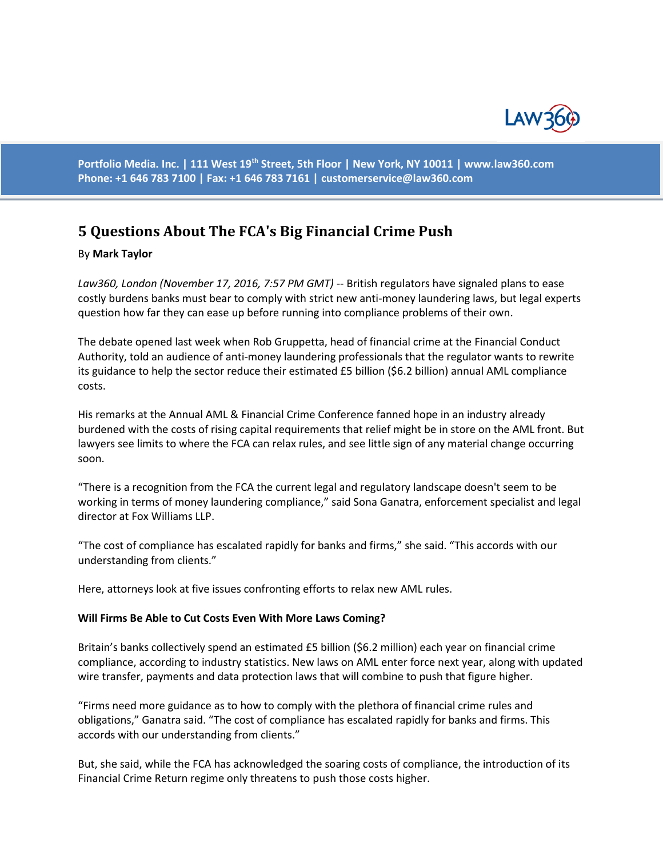

**Portfolio Media. Inc. | 111 West 19th Street, 5th Floor | New York, NY 10011 | www.law360.com Phone: +1 646 783 7100 | Fax: +1 646 783 7161 | [customerservice@law360.com](mailto:customerservice@law360.com)**

# **5 Questions About The FCA's Big Financial Crime Push**

## By **Mark Taylor**

Law360, London (November 17, 2016, 7:57 PM GMT) -- British regulators have signaled plans to ease costly burdens banks must bear to comply with strict new anti-money laundering laws, but legal experts question how far they can ease up before running into compliance problems of their own.

The debate opened last week when Rob Gruppetta, head of financial crime at the Financial Conduct Authority, told an audience of anti-money laundering professionals that the regulator wants to rewrite its guidance to help the sector reduce their estimated £5 billion (\$6.2 billion) annual AML compliance costs.

His remarks at the Annual AML & Financial Crime Conference fanned hope in an industry already burdened with the costs of rising capital requirements that relief might be in store on the AML front. But lawyers see limits to where the FCA can relax rules, and see little sign of any material change occurring soon.

"There is a recognition from the FCA the current legal and regulatory landscape doesn't seem to be working in terms of money laundering compliance," said Sona Ganatra, enforcement specialist and legal director at Fox Williams LLP.

"The cost of compliance has escalated rapidly for banks and firms," she said. "This accords with our understanding from clients."

Here, attorneys look at five issues confronting efforts to relax new AML rules.

#### **Will Firms Be Able to Cut Costs Even With More Laws Coming?**

Britain's banks collectively spend an estimated £5 billion (\$6.2 million) each year on financial crime compliance, according to industry statistics. New laws on AML enter force next year, along with updated wire transfer, payments and data protection laws that will combine to push that figure higher.

"Firms need more guidance as to how to comply with the plethora of financial crime rules and obligations," Ganatra said. "The cost of compliance has escalated rapidly for banks and firms. This accords with our understanding from clients."

But, she said, while the FCA has acknowledged the soaring costs of compliance, the introduction of its Financial Crime Return regime only threatens to push those costs higher.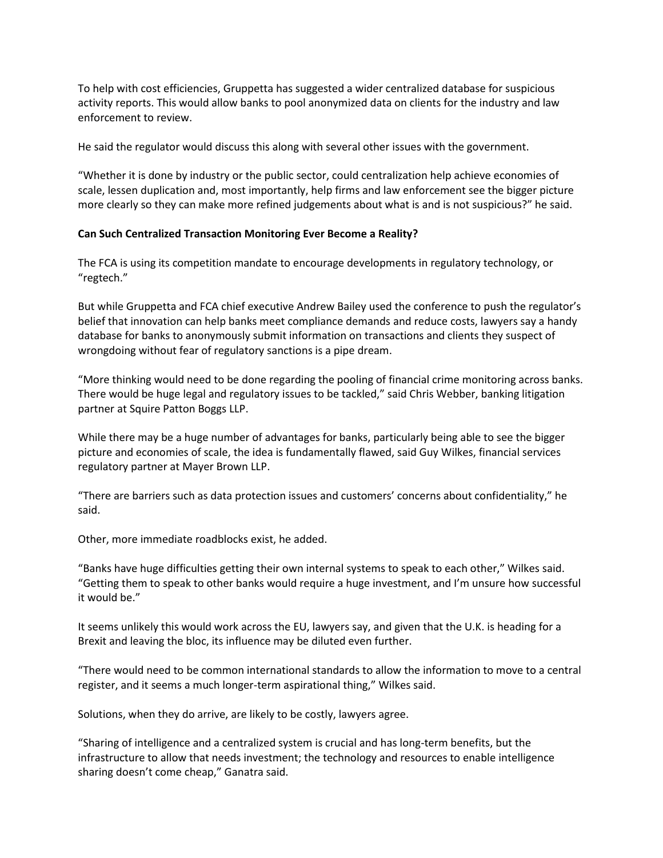To help with cost efficiencies, Gruppetta has suggested a wider centralized database for suspicious activity reports. This would allow banks to pool anonymized data on clients for the industry and law enforcement to review.

He said the regulator would discuss this along with several other issues with the government.

"Whether it is done by industry or the public sector, could centralization help achieve economies of scale, lessen duplication and, most importantly, help firms and law enforcement see the bigger picture more clearly so they can make more refined judgements about what is and is not suspicious?" he said.

## **Can Such Centralized Transaction Monitoring Ever Become a Reality?**

The FCA is using its competition mandate to encourage developments in regulatory technology, or "regtech."

But while Gruppetta and FCA chief executive Andrew Bailey used the conference to push the regulator's belief that innovation can help banks meet compliance demands and reduce costs, lawyers say a handy database for banks to anonymously submit information on transactions and clients they suspect of wrongdoing without fear of regulatory sanctions is a pipe dream.

"More thinking would need to be done regarding the pooling of financial crime monitoring across banks. There would be huge legal and regulatory issues to be tackled," said Chris Webber, banking litigation partner at Squire Patton Boggs LLP.

While there may be a huge number of advantages for banks, particularly being able to see the bigger picture and economies of scale, the idea is fundamentally flawed, said Guy Wilkes, financial services regulatory partner at Mayer Brown LLP.

"There are barriers such as data protection issues and customers' concerns about confidentiality," he said.

Other, more immediate roadblocks exist, he added.

"Banks have huge difficulties getting their own internal systems to speak to each other," Wilkes said. "Getting them to speak to other banks would require a huge investment, and I'm unsure how successful it would be."

It seems unlikely this would work across the EU, lawyers say, and given that the U.K. is heading for a Brexit and leaving the bloc, its influence may be diluted even further.

"There would need to be common international standards to allow the information to move to a central register, and it seems a much longer-term aspirational thing," Wilkes said.

Solutions, when they do arrive, are likely to be costly, lawyers agree.

"Sharing of intelligence and a centralized system is crucial and has long-term benefits, but the infrastructure to allow that needs investment; the technology and resources to enable intelligence sharing doesn't come cheap," Ganatra said.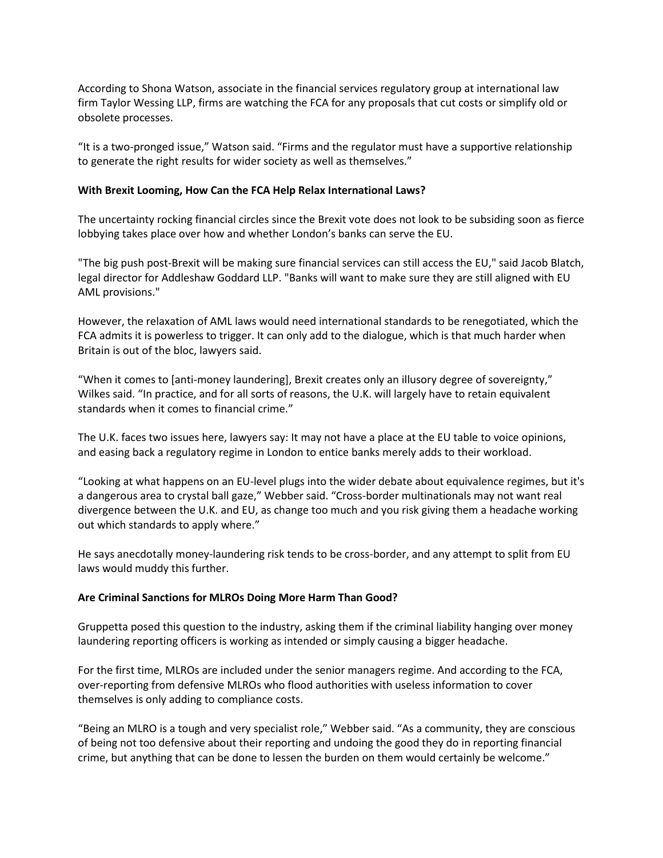According to Shona Watson, associate in the financial services regulatory group at international law firm Taylor Wessing LLP, firms are watching the FCA for any proposals that cut costs or simplify old or obsolete processes.

"It is a two-pronged issue," Watson said. "Firms and the regulator must have a supportive relationship to generate the right results for wider society as well as themselves."

#### **With Brexit Looming, How Can the FCA Help Relax International Laws?**

The uncertainty rocking financial circles since the Brexit vote does not look to be subsiding soon as fierce lobbying takes place over how and whether London's banks can serve the EU.

"The big push post-Brexit will be making sure financial services can still access the EU," said Jacob Blatch, legal director for Addleshaw Goddard LLP. "Banks will want to make sure they are still aligned with EU AML provisions."

However, the relaxation of AML laws would need international standards to be renegotiated, which the FCA admits it is powerless to trigger. It can only add to the dialogue, which is that much harder when Britain is out of the bloc, lawyers said.

"When it comes to [anti-money laundering], Brexit creates only an illusory degree of sovereignty," Wilkes said. "In practice, and for all sorts of reasons, the U.K. will largely have to retain equivalent standards when it comes to financial crime."

The U.K. faces two issues here, lawyers say: It may not have a place at the EU table to voice opinions, and easing back a regulatory regime in London to entice banks merely adds to their workload.

"Looking at what happens on an EU-level plugs into the wider debate about equivalence regimes, but it's a dangerous area to crystal ball gaze," Webber said. "Cross-border multinationals may not want real divergence between the U.K. and EU, as change too much and you risk giving them a headache working out which standards to apply where."

He says anecdotally money-laundering risk tends to be cross-border, and any attempt to split from EU laws would muddy this further.

#### **Are Criminal Sanctions for MLROs Doing More Harm Than Good?**

Gruppetta posed this question to the industry, asking them if the criminal liability hanging over money laundering reporting officers is working as intended or simply causing a bigger headache.

For the first time, MLROs are included under the senior managers regime. And according to the FCA, over-reporting from defensive MLROs who flood authorities with useless information to cover themselves is only adding to compliance costs.

"Being an MLRO is a tough and very specialist role," Webber said. "As a community, they are conscious of being not too defensive about their reporting and undoing the good they do in reporting financial crime, but anything that can be done to lessen the burden on them would certainly be welcome."